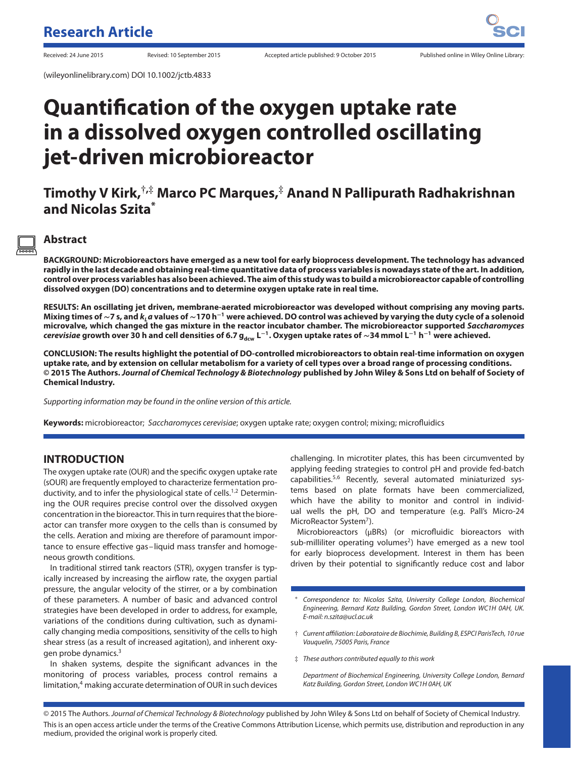(wileyonlinelibrary.com) DOI 10.1002/jctb.4833

# **Quantification of the oxygen uptake rate in a dissolved oxygen controlled oscillating jet-driven microbioreactor**

**Timothy V Kirk,†,‡ Marco PC Marques,‡ Anand N Pallipurath Radhakrishnan and Nicolas Szita\***



# **Abstract**

**BACKGROUND: Microbioreactors have emerged as a new tool for early bioprocess development. The technology has advanced rapidly in the last decade and obtaining real-time quantitative data of process variables is nowadays state of the art. In addition, control over process variables has also been achieved. The aim of this study was to build a microbioreactor capable of controlling dissolved oxygen (DO) concentrations and to determine oxygen uptake rate in real time.**

**RESULTS: An oscillating jet driven, membrane-aerated microbioreactor was developed without comprising any moving parts.** Mixing times of ~7 s, and *k*, *a* values of ~170 h<sup>−1</sup> were achieved. DO control was achieved by varying the duty cycle of a solenoid **microvalve, which changed the gas mixture in the reactor incubator chamber. The microbioreactor supported** *Saccharomyces cerevisiae* growth over 30 h and cell densities of 6.7 g<sub>dcw</sub> L<sup>−1</sup>. Oxygen uptake rates of ∼34 mmol L<sup>−1</sup> h<sup>−1</sup> were achieved.

**CONCLUSION: The results highlight the potential of DO-controlled microbioreactors to obtain real-time information on oxygen uptake rate, and by extension on cellular metabolism for a variety of cell types over a broad range of processing conditions. © 2015 The Authors.***Journal of Chemical Technology & Biotechnology* **published by John Wiley & Sons Ltd on behalf of Society of Chemical Industry.**

Supporting information may be found in the online version of this article.

**Keywords:** microbioreactor; Saccharomyces cerevisiae; oxygen uptake rate; oxygen control; mixing; microfluidics

# **INTRODUCTION**

The oxygen uptake rate (OUR) and the specific oxygen uptake rate (sOUR) are frequently employed to characterize fermentation productivity, and to infer the physiological state of cells.1*,*<sup>2</sup> Determining the OUR requires precise control over the dissolved oxygen concentration in the bioreactor. This in turn requires that the bioreactor can transfer more oxygen to the cells than is consumed by the cells. Aeration and mixing are therefore of paramount importance to ensure effective gas–liquid mass transfer and homogeneous growth conditions.

In traditional stirred tank reactors (STR), oxygen transfer is typically increased by increasing the airflow rate, the oxygen partial pressure, the angular velocity of the stirrer, or a by combination of these parameters. A number of basic and advanced control strategies have been developed in order to address, for example, variations of the conditions during cultivation, such as dynamically changing media compositions, sensitivity of the cells to high shear stress (as a result of increased agitation), and inherent oxygen probe dynamics.3

In shaken systems, despite the significant advances in the monitoring of process variables, process control remains a limitation,<sup>4</sup> making accurate determination of OUR in such devices

challenging. In microtiter plates, this has been circumvented by applying feeding strategies to control pH and provide fed-batch capabilities.5*,*<sup>6</sup> Recently, several automated miniaturized systems based on plate formats have been commercialized, which have the ability to monitor and control in individual wells the pH, DO and temperature (e.g. Pall's Micro-24 MicroReactor System<sup>7</sup>).

Microbioreactors (μBRs) (or microfluidic bioreactors with sub-milliliter operating volumes<sup>2</sup>) have emerged as a new tool for early bioprocess development. Interest in them has been driven by their potential to significantly reduce cost and labor

- Correspondence to: Nicolas Szita, University College London, Biochemical Engineering, Bernard Katz Building, Gordon Street, London WC1H 0AH, UK. E-mail: n.szita@ucl.ac.uk
- † Current affiliation: Laboratoire de Biochimie, Building B, ESPCI ParisTech, 10 rue Vauquelin, 75005 Paris, France
- ‡ These authors contributed equally to this work
- Department of Biochemical Engineering, University College London, Bernard Katz Building, Gordon Street, London WC1H 0AH, UK

© 2015 The Authors. Journal of Chemical Technology & Biotechnology published by John Wiley & Sons Ltd on behalf of Society of Chemical Industry. This is an open access article under the terms of the Creative Commons Attribution License, which permits use, distribution and reproduction in any medium, provided the original work is properly cited.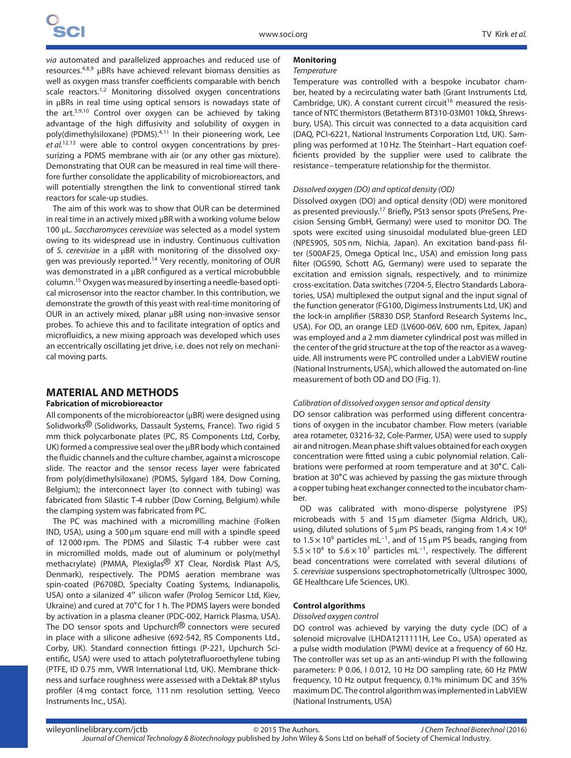via automated and parallelized approaches and reduced use of resources.4*,*8*,*<sup>9</sup> μBRs have achieved relevant biomass densities as well as oxygen mass transfer coefficients comparable with bench scale reactors.1*,*<sup>2</sup> Monitoring dissolved oxygen concentrations in μBRs in real time using optical sensors is nowadays state of the art.3*,*9*,*<sup>10</sup> Control over oxygen can be achieved by taking advantage of the high diffusivity and solubility of oxygen in poly(dimethylsiloxane) (PDMS).4*,*<sup>11</sup> In their pioneering work, Lee et al.<sup>12</sup>*,*<sup>13</sup> were able to control oxygen concentrations by pressurizing a PDMS membrane with air (or any other gas mixture). Demonstrating that OUR can be measured in real time will therefore further consolidate the applicability of microbioreactors, and will potentially strengthen the link to conventional stirred tank reactors for scale-up studies.

The aim of this work was to show that OUR can be determined in real time in an actively mixed μBR with a working volume below 100 μL. Saccharomyces cerevisiae was selected as a model system owing to its widespread use in industry. Continuous cultivation of S. cerevisiae in a μBR with monitoring of the dissolved oxygen was previously reported.<sup>14</sup> Very recently, monitoring of OUR was demonstrated in a μBR configured as a vertical microbubble column.15 Oxygen was measured by inserting a needle-based optical microsensor into the reactor chamber. In this contribution, we demonstrate the growth of this yeast with real-time monitoring of OUR in an actively mixed, planar μBR using non-invasive sensor probes. To achieve this and to facilitate integration of optics and microfluidics, a new mixing approach was developed which uses an eccentrically oscillating jet drive, i.e. does not rely on mechanical moving parts.

# **MATERIAL AND METHODS**

# **Fabrication of microbioreactor**

All components of the microbioreactor (μBR) were designed using Solidworks® (Solidworks, Dassault Systems, France). Two rigid 5 mm thick polycarbonate plates (PC, RS Components Ltd, Corby, UK) formed a compressive seal over the μBR body which contained the fluidic channels and the culture chamber, against a microscope slide. The reactor and the sensor recess layer were fabricated from poly(dimethylsiloxane) (PDMS, Sylgard 184, Dow Corning, Belgium); the interconnect layer (to connect with tubing) was fabricated from Silastic T-4 rubber (Dow Corning, Belgium) while the clamping system was fabricated from PC.

The PC was machined with a micromilling machine (Folken IND, USA), using a 500 μm square end mill with a spindle speed of 12 000 rpm. The PDMS and Silastic T-4 rubber were cast in micromilled molds, made out of aluminum or poly(methyl methacrylate) (PMMA, Plexiglas® XT Clear, Nordisk Plast A/S, Denmark), respectively. The PDMS aeration membrane was spin-coated (P6708D, Specialty Coating Systems, Indianapolis, USA) onto a silanized 4" silicon wafer (Prolog Semicor Ltd, Kiev, Ukraine) and cured at 70∘C for 1 h. The PDMS layers were bonded by activation in a plasma cleaner (PDC-002, Harrick Plasma, USA). The DO sensor spots and Upchurch<sup>®</sup> connectors were secured in place with a silicone adhesive (692-542, RS Components Ltd., Corby, UK). Standard connection fittings (P-221, Upchurch Scientific, USA) were used to attach polytetrafluoroethylene tubing (PTFE, ID 0.75 mm, VWR International Ltd, UK). Membrane thickness and surface roughness were assessed with a Dektak 8P stylus profiler (4 mg contact force, 111 nm resolution setting, Veeco Instruments Inc., USA).

## **Monitoring Temperature**

Temperature was controlled with a bespoke incubator chamber, heated by a recirculating water bath (Grant Instruments Ltd, Cambridge, UK). A constant current circuit<sup>16</sup> measured the resistance of NTC thermistors (Betatherm BT310-03M01 10kΩ, Shrewsbury, USA). This circuit was connected to a data acquisition card (DAQ, PCI-6221, National Instruments Corporation Ltd, UK). Sampling was performed at 10 Hz. The Steinhart–Hart equation coefficients provided by the supplier were used to calibrate the resistance– temperature relationship for the thermistor.

## Dissolved oxygen (DO) and optical density (OD)

Dissolved oxygen (DO) and optical density (OD) were monitored as presented previously.17 Briefly, PSt3 sensor spots (PreSens, Precision Sensing GmbH, Germany) were used to monitor DO. The spots were excited using sinusoidal modulated blue-green LED (NPE590S, 505 nm, Nichia, Japan). An excitation band-pass filter (500AF25, Omega Optical Inc., USA) and emission long pass filter (OG590, Schott AG, Germany) were used to separate the excitation and emission signals, respectively, and to minimize cross-excitation. Data switches (7204-5, Electro Standards Laboratories, USA) multiplexed the output signal and the input signal of the function generator (FG100, Digimess Instruments Ltd, UK) and the lock-in amplifier (SR830 DSP, Stanford Research Systems Inc., USA). For OD, an orange LED (LV600-06V, 600 nm, Epitex, Japan) was employed and a 2 mm diameter cylindrical post was milled in the center of the grid structure at the top of the reactor as a waveguide. All instruments were PC controlled under a LabVIEW routine (National Instruments, USA), which allowed the automated on-line measurement of both OD and DO (Fig. 1).

#### Calibration of dissolved oxygen sensor and optical density

DO sensor calibration was performed using different concentrations of oxygen in the incubator chamber. Flow meters (variable area rotameter, 03216-32, Cole-Parmer, USA) were used to supply air and nitrogen. Mean phase shift values obtained for each oxygen concentration were fitted using a cubic polynomial relation. Calibrations were performed at room temperature and at 30∘C. Calibration at 30∘C was achieved by passing the gas mixture through a copper tubing heat exchanger connected to the incubator chamber.

OD was calibrated with mono-disperse polystyrene (PS) microbeads with 5 and 15 μm diameter (Sigma Aldrich, UK), using, diluted solutions of 5  $\mu$ m PS beads, ranging from  $1.4 \times 10^6$ to  $1.5 \times 10^9$  particles mL<sup>-1</sup>, and of 15 µm PS beads, ranging from  $5.5 \times 10^4$  to  $5.6 \times 10^7$  particles mL<sup>-1</sup>, respectively. The different bead concentrations were correlated with several dilutions of S. cerevisiae suspensions spectrophotometrically (Ultrospec 3000, GE Healthcare Life Sciences, UK).

## **Control algorithms**

#### Dissolved oxygen control

DO control was achieved by varying the duty cycle (DC) of a solenoid microvalve (LHDA1211111H, Lee Co., USA) operated as a pulse width modulation (PWM) device at a frequency of 60 Hz. The controller was set up as an anti-windup PI with the following parameters: P 0.06, I 0.012, 10 Hz DO sampling rate, 60 Hz PMW frequency, 10 Hz output frequency, 0.1% minimum DC and 35% maximum DC. The control algorithm was implemented in LabVIEW (National Instruments, USA)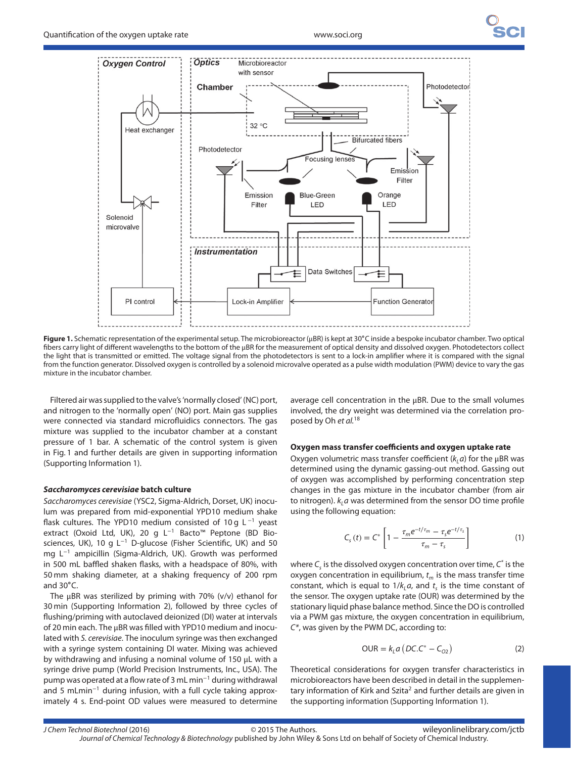

**Figure 1.** Schematic representation of the experimental setup. The microbioreactor (μBR) is kept at 30∘C inside a bespoke incubator chamber. Two optical fibers carry light of different wavelengths to the bottom of the μBR for the measurement of optical density and dissolved oxygen. Photodetectors collect the light that is transmitted or emitted. The voltage signal from the photodetectors is sent to a lock-in amplifier where it is compared with the signal from the function generator. Dissolved oxygen is controlled by a solenoid microvalve operated as a pulse width modulation (PWM) device to vary the gas mixture in the incubator chamber.

Filtered air was supplied to the valve's 'normally closed' (NC) port, and nitrogen to the 'normally open' (NO) port. Main gas supplies were connected via standard microfluidics connectors. The gas mixture was supplied to the incubator chamber at a constant pressure of 1 bar. A schematic of the control system is given in Fig. 1 and further details are given in supporting information (Supporting Information 1).

# *Saccharomyces cerevisiae* **batch culture**

Saccharomyces cerevisiae (YSC2, Sigma-Aldrich, Dorset, UK) inoculum was prepared from mid-exponential YPD10 medium shake flask cultures. The YPD10 medium consisted of 10 g L<sup>-1</sup> yeast extract (Oxoid Ltd, UK), 20 g L<sup>−</sup><sup>1</sup> Bacto™ Peptone (BD Biosciences, UK), 10 g L<sup>-1</sup> D-glucose (Fisher Scientific, UK) and 50 mg L<sup>−</sup><sup>1</sup> ampicillin (Sigma-Aldrich, UK). Growth was performed in 500 mL baffled shaken flasks, with a headspace of 80%, with 50 mm shaking diameter, at a shaking frequency of 200 rpm and 30∘C.

The μBR was sterilized by priming with 70% (v/v) ethanol for 30 min (Supporting Information 2), followed by three cycles of flushing/priming with autoclaved deionized (DI) water at intervals of 20 min each. The μBR was filled with YPD10 medium and inoculated with S. cerevisiae. The inoculum syringe was then exchanged with a syringe system containing DI water. Mixing was achieved by withdrawing and infusing a nominal volume of 150 μL with a syringe drive pump (World Precision Instruments, Inc., USA). The pump was operated at a flow rate of 3 mL min<sup>-1</sup> during withdrawal and 5 mLmin<sup>-1</sup> during infusion, with a full cycle taking approximately 4 s. End-point OD values were measured to determine

average cell concentration in the μBR. Due to the small volumes involved, the dry weight was determined via the correlation proposed by Oh et al.<sup>18</sup>

## **Oxygen mass transfer coefficients and oxygen uptake rate**

Oxygen volumetric mass transfer coefficient ( $k, a$ ) for the  $\mu$ BR was determined using the dynamic gassing-out method. Gassing out of oxygen was accomplished by performing concentration step changes in the gas mixture in the incubator chamber (from air to nitrogen).  $k_i a$  was determined from the sensor DO time profile using the following equation:

$$
C_{s}(t) = C^{*} \left[ 1 - \frac{\tau_{m} e^{-t/\tau_{m}} - \tau_{s} e^{-t/\tau_{s}}}{\tau_{m} - \tau_{s}} \right]
$$
(1)

where  $C_s$  is the dissolved oxygen concentration over time,  $C^*$  is the oxygen concentration in equilibrium,  $t_m$  is the mass transfer time constant, which is equal to  $1/k<sub>l</sub>a$ , and  $t<sub>s</sub>$  is the time constant of the sensor. The oxygen uptake rate (OUR) was determined by the stationary liquid phase balance method. Since the DO is controlled via a PWM gas mixture, the oxygen concentration in equilibrium, C\*, was given by the PWM DC, according to:

$$
OUR = kL a (DC.C* - C02)
$$
 (2)

Theoretical considerations for oxygen transfer characteristics in microbioreactors have been described in detail in the supplementary information of Kirk and Szita<sup>2</sup> and further details are given in the supporting information (Supporting Information 1).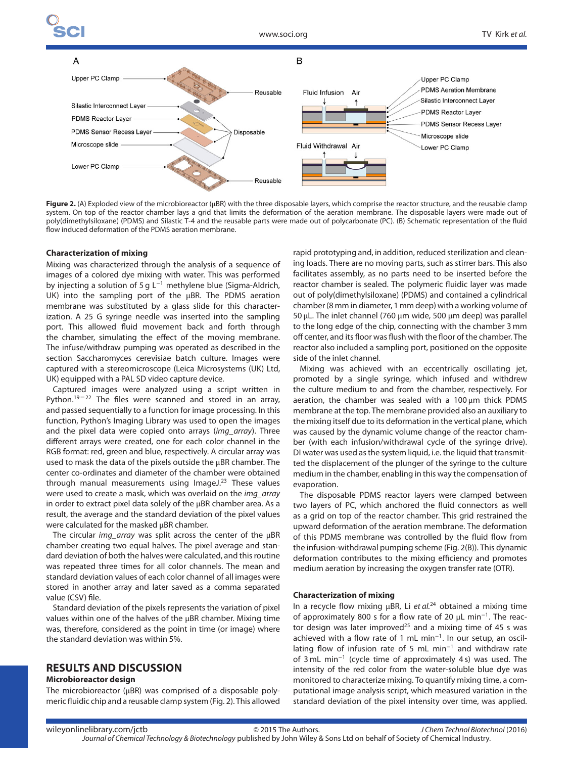

**Figure 2.** (A) Exploded view of the microbioreactor (μBR) with the three disposable layers, which comprise the reactor structure, and the reusable clamp system. On top of the reactor chamber lays a grid that limits the deformation of the aeration membrane. The disposable layers were made out of poly(dimethylsiloxane) (PDMS) and Silastic T-4 and the reusable parts were made out of polycarbonate (PC). (B) Schematic representation of the fluid flow induced deformation of the PDMS aeration membrane.

# **Characterization of mixing**

Mixing was characterized through the analysis of a sequence of images of a colored dye mixing with water. This was performed by injecting a solution of 5 g L<sup>−</sup><sup>1</sup> methylene blue (Sigma-Aldrich, UK) into the sampling port of the μBR. The PDMS aeration membrane was substituted by a glass slide for this characterization. A 25 G syringe needle was inserted into the sampling port. This allowed fluid movement back and forth through the chamber, simulating the effect of the moving membrane. The infuse/withdraw pumping was operated as described in the section Saccharomyces cerevisiae batch culture. Images were captured with a stereomicroscope (Leica Microsystems (UK) Ltd, UK) equipped with a PAL SD video capture device.

Captured images were analyzed using a script written in Python.<sup>19-22</sup> The files were scanned and stored in an array, and passed sequentially to a function for image processing. In this function, Python's Imaging Library was used to open the images and the pixel data were copied onto arrays (img array). Three different arrays were created, one for each color channel in the RGB format: red, green and blue, respectively. A circular array was used to mask the data of the pixels outside the μBR chamber. The center co-ordinates and diameter of the chamber were obtained through manual measurements using ImageJ $2<sup>23</sup>$  These values were used to create a mask, which was overlaid on the *img\_array* in order to extract pixel data solely of the μBR chamber area. As a result, the average and the standard deviation of the pixel values were calculated for the masked μBR chamber.

The circular img\_array was split across the center of the μBR chamber creating two equal halves. The pixel average and standard deviation of both the halves were calculated, and this routine was repeated three times for all color channels. The mean and standard deviation values of each color channel of all images were stored in another array and later saved as a comma separated value (CSV) file.

Standard deviation of the pixels represents the variation of pixel values within one of the halves of the μBR chamber. Mixing time was, therefore, considered as the point in time (or image) where the standard deviation was within 5%.

# **RESULTS AND DISCUSSION**

## **Microbioreactor design**

The microbioreactor (μBR) was comprised of a disposable polymeric fluidic chip and a reusable clamp system (Fig. 2). This allowed rapid prototyping and, in addition, reduced sterilization and cleaning loads. There are no moving parts, such as stirrer bars. This also facilitates assembly, as no parts need to be inserted before the reactor chamber is sealed. The polymeric fluidic layer was made out of poly(dimethylsiloxane) (PDMS) and contained a cylindrical chamber (8 mm in diameter, 1 mm deep) with a working volume of 50 μL. The inlet channel (760 μm wide, 500 μm deep) was parallel to the long edge of the chip, connecting with the chamber 3 mm off center, and its floor was flush with the floor of the chamber. The reactor also included a sampling port, positioned on the opposite side of the inlet channel.

Mixing was achieved with an eccentrically oscillating jet, promoted by a single syringe, which infused and withdrew the culture medium to and from the chamber, respectively. For aeration, the chamber was sealed with a  $100 \,\mu m$  thick PDMS membrane at the top. The membrane provided also an auxiliary to the mixing itself due to its deformation in the vertical plane, which was caused by the dynamic volume change of the reactor chamber (with each infusion/withdrawal cycle of the syringe drive). DI water was used as the system liquid, i.e. the liquid that transmitted the displacement of the plunger of the syringe to the culture medium in the chamber, enabling in this way the compensation of evaporation.

The disposable PDMS reactor layers were clamped between two layers of PC, which anchored the fluid connectors as well as a grid on top of the reactor chamber. This grid restrained the upward deformation of the aeration membrane. The deformation of this PDMS membrane was controlled by the fluid flow from the infusion-withdrawal pumping scheme (Fig. 2(B)). This dynamic deformation contributes to the mixing efficiency and promotes medium aeration by increasing the oxygen transfer rate (OTR).

# **Characterization of mixing**

In a recycle flow mixing  $\mu$ BR, Li et al.<sup>24</sup> obtained a mixing time of approximately 800 s for a flow rate of 20 μL min<sup>−</sup>1. The reactor design was later improved<sup>25</sup> and a mixing time of 45 s was achieved with a flow rate of 1 mL min<sup>-1</sup>. In our setup, an oscillating flow of infusion rate of 5 mL min<sup>−</sup><sup>1</sup> and withdraw rate of 3 mL min<sup>−</sup><sup>1</sup> (cycle time of approximately 4 s) was used. The intensity of the red color from the water-soluble blue dye was monitored to characterize mixing. To quantify mixing time, a computational image analysis script, which measured variation in the standard deviation of the pixel intensity over time, was applied.

wileyonlinelibrary.com/jctb  $\odot$  2015 The Authors. Suppose that the Suppose of Chem Technol Biotechnol (2016) Journal of Chemical Technology & Biotechnology published by John Wiley & Sons Ltd on behalf of Society of Chemical Industry.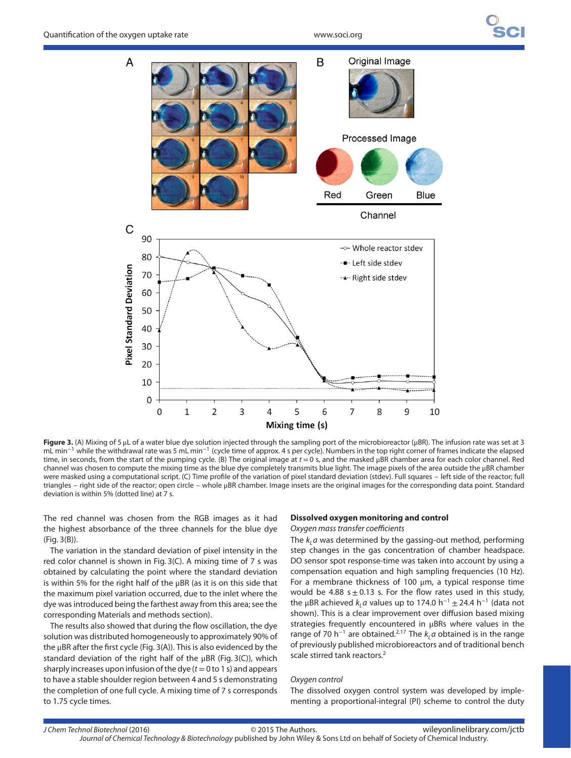

**Figure 3.** (A) Mixing of 5 μL of a water blue dye solution injected through the sampling port of the microbioreactor (μBR). The infusion rate was set at 3 mL min<sup>-1</sup> while the withdrawal rate was 5 mL min<sup>-1</sup> (cycle time of approx. 4 s per cycle). Numbers in the top right corner of frames indicate the elapsed time, in seconds, from the start of the pumping cycle. (B) The original image at  $t = 0$  s, and the masked  $\mu$ BR chamber area for each color channel. Red channel was chosen to compute the mixing time as the blue dye completely transmits blue light. The image pixels of the area outside the μBR chamber were masked using a computational script. (C) Time profile of the variation of pixel standard deviation (stdev). Full squares – left side of the reactor; full triangles – right side of the reactor; open circle – whole μBR chamber. Image insets are the original images for the corresponding data point. Standard deviation is within 5% (dotted line) at 7 s.

The red channel was chosen from the RGB images as it had the highest absorbance of the three channels for the blue dye (Fig. 3(B)).

The variation in the standard deviation of pixel intensity in the red color channel is shown in Fig. 3(C). A mixing time of 7 s was obtained by calculating the point where the standard deviation is within 5% for the right half of the μBR (as it is on this side that the maximum pixel variation occurred, due to the inlet where the dye was introduced being the farthest away from this area; see the corresponding Materials and methods section).

The results also showed that during the flow oscillation, the dye solution was distributed homogeneously to approximately 90% of the μBR after the first cycle (Fig. 3(A)). This is also evidenced by the standard deviation of the right half of the μBR (Fig. 3(C)), which sharply increases upon infusion of the dye ( $t = 0$  to 1 s) and appears to have a stable shoulder region between 4 and 5 s demonstrating the completion of one full cycle. A mixing time of 7 s corresponds to 1.75 cycle times.

# **Dissolved oxygen monitoring and control**

# Oxygen mass transfer coefficients

The  $k, a$  was determined by the gassing-out method, performing step changes in the gas concentration of chamber headspace. DO sensor spot response-time was taken into account by using a compensation equation and high sampling frequencies (10 Hz). For a membrane thickness of 100 μm, a typical response time would be 4.88 s $\pm$  0.13 s. For the flow rates used in this study, the µBR achieved  $k<sub>i</sub> a$  values up to 174.0 h<sup>-1</sup> ± 24.4 h<sup>-1</sup> (data not shown). This is a clear improvement over diffusion based mixing strategies frequently encountered in μBRs where values in the range of 70 h<sup>-1</sup> are obtained.<sup>2,17</sup> The  $k_i$  a obtained is in the range of previously published microbioreactors and of traditional bench scale stirred tank reactors.2

# Oxygen control

The dissolved oxygen control system was developed by implementing a proportional-integral (PI) scheme to control the duty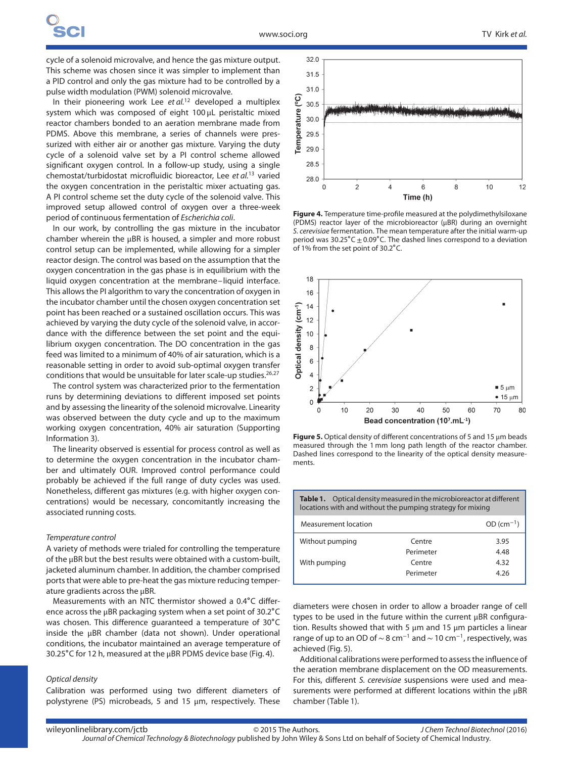cycle of a solenoid microvalve, and hence the gas mixture output. This scheme was chosen since it was simpler to implement than a PID control and only the gas mixture had to be controlled by a pulse width modulation (PWM) solenoid microvalve.

In their pioneering work Lee et  $al^{12}$  developed a multiplex system which was composed of eight 100 μL peristaltic mixed reactor chambers bonded to an aeration membrane made from PDMS. Above this membrane, a series of channels were pressurized with either air or another gas mixture. Varying the duty cycle of a solenoid valve set by a PI control scheme allowed significant oxygen control. In a follow-up study, using a single chemostat/turbidostat microfluidic bioreactor, Lee et al.<sup>13</sup> varied the oxygen concentration in the peristaltic mixer actuating gas. A PI control scheme set the duty cycle of the solenoid valve. This improved setup allowed control of oxygen over a three-week period of continuous fermentation of Escherichia coli.

In our work, by controlling the gas mixture in the incubator chamber wherein the μBR is housed, a simpler and more robust control setup can be implemented, while allowing for a simpler reactor design. The control was based on the assumption that the oxygen concentration in the gas phase is in equilibrium with the liquid oxygen concentration at the membrane–liquid interface. This allows the PI algorithm to vary the concentration of oxygen in the incubator chamber until the chosen oxygen concentration set point has been reached or a sustained oscillation occurs. This was achieved by varying the duty cycle of the solenoid valve, in accordance with the difference between the set point and the equilibrium oxygen concentration. The DO concentration in the gas feed was limited to a minimum of 40% of air saturation, which is a reasonable setting in order to avoid sub-optimal oxygen transfer conditions that would be unsuitable for later scale-up studies.26*,*<sup>27</sup>

The control system was characterized prior to the fermentation runs by determining deviations to different imposed set points and by assessing the linearity of the solenoid microvalve. Linearity was observed between the duty cycle and up to the maximum working oxygen concentration, 40% air saturation (Supporting Information 3).

The linearity observed is essential for process control as well as to determine the oxygen concentration in the incubator chamber and ultimately OUR. Improved control performance could probably be achieved if the full range of duty cycles was used. Nonetheless, different gas mixtures (e.g. with higher oxygen concentrations) would be necessary, concomitantly increasing the associated running costs.

# Temperature control

A variety of methods were trialed for controlling the temperature of the μBR but the best results were obtained with a custom-built, jacketed aluminum chamber. In addition, the chamber comprised ports that were able to pre-heat the gas mixture reducing temperature gradients across the μBR.

Measurements with an NTC thermistor showed a 0.4∘C difference across the μBR packaging system when a set point of 30.2∘C was chosen. This difference guaranteed a temperature of 30∘C inside the μBR chamber (data not shown). Under operational conditions, the incubator maintained an average temperature of 30.25°C for 12 h, measured at the µBR PDMS device base (Fig. 4).

# Optical density

Calibration was performed using two different diameters of polystyrene (PS) microbeads, 5 and 15 μm, respectively. These



**Figure 4.** Temperature time-profile measured at the polydimethylsiloxane (PDMS) reactor layer of the microbioreactor (μBR) during an overnight S. cerevisiae fermentation. The mean temperature after the initial warm-up period was 30.25°C $\pm$ 0.09°C. The dashed lines correspond to a deviation of 1% from the set point of 30.2∘C.



**Figure 5.** Optical density of different concentrations of 5 and 15 μm beads measured through the 1 mm long path length of the reactor chamber. Dashed lines correspond to the linearity of the optical density measurements.

| Optical density measured in the microbioreactor at different<br>Table 1.<br>locations with and without the pumping strategy for mixing |           |                |
|----------------------------------------------------------------------------------------------------------------------------------------|-----------|----------------|
| Measurement location                                                                                                                   |           | $OD (cm^{-1})$ |
| Without pumping                                                                                                                        | Centre    | 3.95           |
|                                                                                                                                        | Perimeter | 4.48           |
| With pumping                                                                                                                           | Centre    | 4.32           |
|                                                                                                                                        | Perimeter | 4.26           |
|                                                                                                                                        |           |                |

diameters were chosen in order to allow a broader range of cell types to be used in the future within the current μBR configuration. Results showed that with 5  $μm$  and 15  $μm$  particles a linear range of up to an OD of  $\sim$  8 cm<sup>-1</sup> and  $\sim$  10 cm<sup>-1</sup>, respectively, was achieved (Fig. 5).

Additional calibrations were performed to assess the influence of the aeration membrane displacement on the OD measurements. For this, different S. cerevisiae suspensions were used and measurements were performed at different locations within the μBR chamber (Table 1).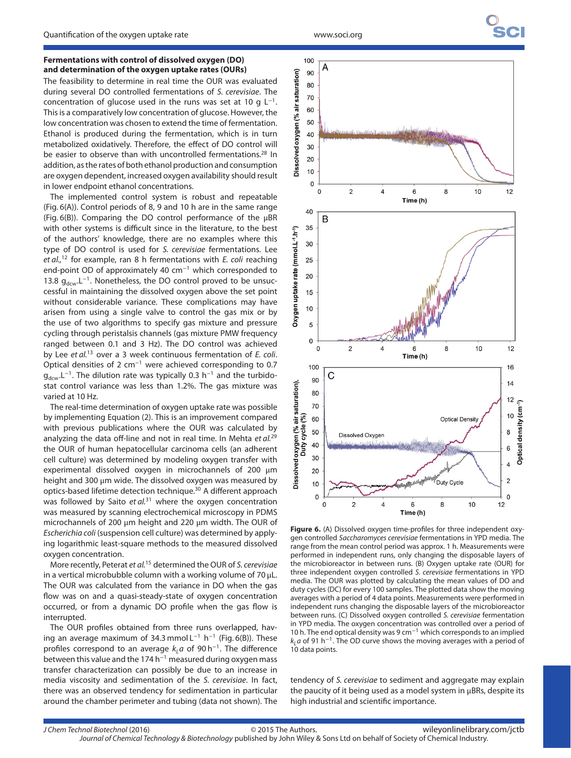# **Fermentations with control of dissolved oxygen (DO) and determination of the oxygen uptake rates (OURs)**

The feasibility to determine in real time the OUR was evaluated during several DO controlled fermentations of S. cerevisiae. The concentration of glucose used in the runs was set at 10 g  $L^{-1}$ . This is a comparatively low concentration of glucose. However, the low concentration was chosen to extend the time of fermentation. Ethanol is produced during the fermentation, which is in turn metabolized oxidatively. Therefore, the effect of DO control will be easier to observe than with uncontrolled fermentations.<sup>28</sup> In addition, as the rates of both ethanol production and consumption are oxygen dependent, increased oxygen availability should result in lower endpoint ethanol concentrations.

The implemented control system is robust and repeatable (Fig. 6(A)). Control periods of 8, 9 and 10 h are in the same range (Fig. 6(B)). Comparing the DO control performance of the μBR with other systems is difficult since in the literature, to the best of the authors' knowledge, there are no examples where this type of DO control is used for S. cerevisiae fermentations. Lee et  $al_n$ <sup>12</sup> for example, ran 8 h fermentations with E. coli reaching end-point OD of approximately 40 cm<sup>-1</sup> which corresponded to 13.8  $g_{\text{d}c\omega}$ . L<sup>-1</sup>. Nonetheless, the DO control proved to be unsuccessful in maintaining the dissolved oxygen above the set point without considerable variance. These complications may have arisen from using a single valve to control the gas mix or by the use of two algorithms to specify gas mixture and pressure cycling through peristalsis channels (gas mixture PMW frequency ranged between 0.1 and 3 Hz). The DO control was achieved by Lee et al.<sup>13</sup> over a 3 week continuous fermentation of E. coli. Optical densities of 2 cm<sup>−</sup><sup>1</sup> were achieved corresponding to 0.7  $g_{\text{d}c\text{w}}$ .L<sup>-1</sup>. The dilution rate was typically 0.3 h<sup>-1</sup> and the turbidostat control variance was less than 1.2%. The gas mixture was varied at 10 Hz.

The real-time determination of oxygen uptake rate was possible by implementing Equation (2). This is an improvement compared with previous publications where the OUR was calculated by analyzing the data off-line and not in real time. In Mehta et  $al^{29}$ the OUR of human hepatocellular carcinoma cells (an adherent cell culture) was determined by modeling oxygen transfer with experimental dissolved oxygen in microchannels of 200 μm height and 300 μm wide. The dissolved oxygen was measured by optics-based lifetime detection technique.30 A different approach was followed by Saito et  $al^{31}$  where the oxygen concentration was measured by scanning electrochemical microscopy in PDMS microchannels of 200 μm height and 220 μm width. The OUR of Escherichia coli (suspension cell culture) was determined by applying logarithmic least-square methods to the measured dissolved oxygen concentration.

More recently, Peterat et al.<sup>15</sup> determined the OUR of S. cerevisiae in a vertical microbubble column with a working volume of 70  $\mu$ L. The OUR was calculated from the variance in DO when the gas flow was on and a quasi-steady-state of oxygen concentration occurred, or from a dynamic DO profile when the gas flow is interrupted.

The OUR profiles obtained from three runs overlapped, having an average maximum of 34.3 mmol L<sup>-1</sup> h<sup>-1</sup> (Fig. 6(B)). These profiles correspond to an average  $k<sub>i</sub> a$  of 90 h<sup>-1</sup>. The difference between this value and the 174 h<sup>−</sup><sup>1</sup> measured during oxygen mass transfer characterization can possibly be due to an increase in media viscosity and sedimentation of the S. cerevisiae. In fact, there was an observed tendency for sedimentation in particular around the chamber perimeter and tubing (data not shown). The



**Figure 6.** (A) Dissolved oxygen time-profiles for three independent oxygen controlled Saccharomyces cerevisiae fermentations in YPD media. The range from the mean control period was approx. 1 h. Measurements were performed in independent runs, only changing the disposable layers of the microbioreactor in between runs. (B) Oxygen uptake rate (OUR) for three independent oxygen controlled S. cerevisiae fermentations in YPD media. The OUR was plotted by calculating the mean values of DO and duty cycles (DC) for every 100 samples. The plotted data show the moving averages with a period of 4 data points. Measurements were performed in independent runs changing the disposable layers of the microbioreactor between runs. (C) Dissolved oxygen controlled S. cerevisiae fermentation in YPD media. The oxygen concentration was controlled over a period of 10 h. The end optical density was 9 cm−<sup>1</sup> which corresponds to an implied  $k<sub>L</sub> a$  of 91 h<sup>-1</sup>. The OD curve shows the moving averages with a period of 10 data points.

tendency of S. cerevisiae to sediment and aggregate may explain the paucity of it being used as a model system in μBRs, despite its high industrial and scientific importance.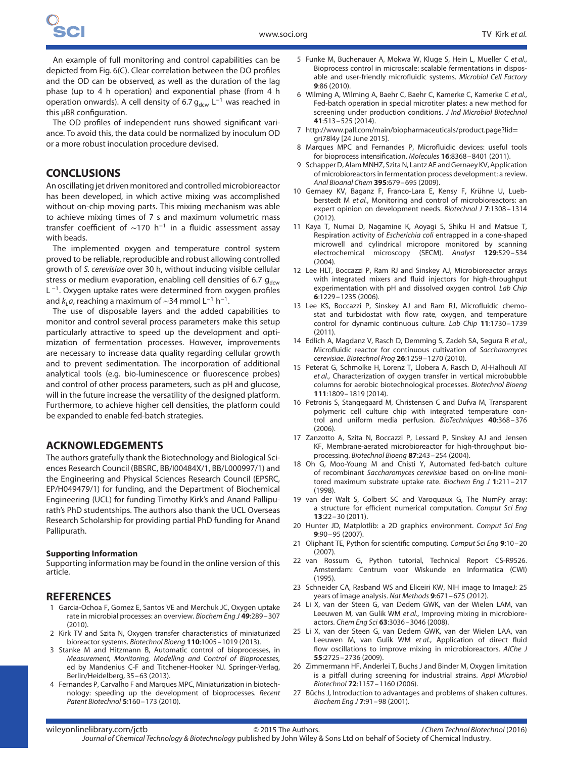An example of full monitoring and control capabilities can be depicted from Fig. 6(C). Clear correlation between the DO profiles and the OD can be observed, as well as the duration of the lag phase (up to 4 h operation) and exponential phase (from 4 h operation onwards). A cell density of 6.7  $g_{\text{dcw}}$  L<sup>-1</sup> was reached in this μBR configuration.

The OD profiles of independent runs showed significant variance. To avoid this, the data could be normalized by inoculum OD or a more robust inoculation procedure devised.

# **CONCLUSIONS**

An oscillating jet driven monitored and controlled microbioreactor has been developed, in which active mixing was accomplished without on-chip moving parts. This mixing mechanism was able to achieve mixing times of 7 s and maximum volumetric mass transfer coefficient of  $\sim$ 170 h<sup>-1</sup> in a fluidic assessment assay with beads.

The implemented oxygen and temperature control system proved to be reliable, reproducible and robust allowing controlled growth of S. cerevisiae over 30 h, without inducing visible cellular stress or medium evaporation, enabling cell densities of 6.7  $g_{\text{dcw}}$ L<sup>-1</sup>. Oxygen uptake rates were determined from oxygen profiles and  $k_1a$ , reaching a maximum of ~34 mmol L<sup>-1</sup> h<sup>-1</sup>.

The use of disposable layers and the added capabilities to monitor and control several process parameters make this setup particularly attractive to speed up the development and optimization of fermentation processes. However, improvements are necessary to increase data quality regarding cellular growth and to prevent sedimentation. The incorporation of additional analytical tools (e.g. bio-luminescence or fluorescence probes) and control of other process parameters, such as pH and glucose, will in the future increase the versatility of the designed platform. Furthermore, to achieve higher cell densities, the platform could be expanded to enable fed-batch strategies.

# **ACKNOWLEDGEMENTS**

The authors gratefully thank the Biotechnology and Biological Sciences Research Council (BBSRC, BB/I00484X/1, BB/L000997/1) and the Engineering and Physical Sciences Research Council (EPSRC, EP/H049479/1) for funding, and the Department of Biochemical Engineering (UCL) for funding Timothy Kirk's and Anand Pallipurath's PhD studentships. The authors also thank the UCL Overseas Research Scholarship for providing partial PhD funding for Anand Pallipurath.

### **Supporting Information**

Supporting information may be found in the online version of this article.

# **REFERENCES**

- 1 Garcia-Ochoa F, Gomez E, Santos VE and Merchuk JC, Oxygen uptake rate in microbial processes: an overview. Biochem Eng J **49**:289–307 (2010).
- 2 Kirk TV and Szita N, Oxygen transfer characteristics of miniaturized bioreactor systems. Biotechnol Bioeng **110**:1005–1019 (2013).
- 3 Stanke M and Hitzmann B, Automatic control of bioprocesses, in Measurement, Monitoring, Modelling and Control of Bioprocesses, ed by Mandenius C-F and Titchener-Hooker NJ. Springer-Verlag, Berlin/Heidelberg, 35–63 (2013).
- 4 Fernandes P, Carvalho F and Marques MPC, Miniaturization in biotechnology: speeding up the development of bioprocesses. Recent Patent Biotechnol **5**:160–173 (2010).
- 5 Funke M, Buchenauer A, Mokwa W, Kluge S, Hein L, Mueller C et al., Bioprocess control in microscale: scalable fermentations in disposable and user-friendly microfluidic systems. Microbiol Cell Factory **9**:86 (2010).
- 6 Wilming A, Wilming A, Baehr C, Baehr C, Kamerke C, Kamerke C et al., Fed-batch operation in special microtiter plates: a new method for screening under production conditions. J Ind Microbiol Biotechnol **41**:513–525 (2014).
- 7 http://www.pall.com/main/biopharmaceuticals/product.page?lid= gri78l4y [24 June 2015].
- 8 Marques MPC and Fernandes P, Microfluidic devices: useful tools for bioprocess intensification. Molecules **16**:8368–8401 (2011).
- 9 Schapper D, Alam MNHZ, Szita N, Lantz AE and Gernaey KV, Application of microbioreactors in fermentation process development: a review. Anal Bioanal Chem **395**:679–695 (2009).
- 10 Gernaey KV, Baganz F, Franco-Lara E, Kensy F, Krühne U, Luebberstedt M et al., Monitoring and control of microbioreactors: an expert opinion on development needs. Biotechnol J **7**:1308–1314  $(2012)$
- 11 Kaya T, Numai D, Nagamine K, Aoyagi S, Shiku H and Matsue T, Respiration activity of Escherichia coli entrapped in a cone-shaped microwell and cylindrical micropore monitored by scanning electrochemical microscopy (SECM). Analyst **129**:529–534 (2004).
- 12 Lee HLT, Boccazzi P, Ram RJ and Sinskey AJ, Microbioreactor arrays with integrated mixers and fluid injectors for high-throughput experimentation with pH and dissolved oxygen control. Lab Chip **6**:1229–1235 (2006).
- 13 Lee KS, Boccazzi P, Sinskey AJ and Ram RJ, Microfluidic chemostat and turbidostat with flow rate, oxygen, and temperature control for dynamic continuous culture. Lab Chip **11**:1730–1739 (2011).
- 14 Edlich A, Magdanz V, Rasch D, Demming S, Zadeh SA, Segura R et al., Microfluidic reactor for continuous cultivation of Saccharomyces cerevisiae. Biotechnol Prog **26**:1259–1270 (2010).
- 15 Peterat G, Schmolke H, Lorenz T, Llobera A, Rasch D, Al-Halhouli AT et al., Characterization of oxygen transfer in vertical microbubble columns for aerobic biotechnological processes. Biotechnol Bioeng **111**:1809–1819 (2014).
- 16 Petronis S, Stangegaard M, Christensen C and Dufva M, Transparent polymeric cell culture chip with integrated temperature control and uniform media perfusion. BioTechniques **40**:368–376 (2006).
- 17 Zanzotto A, Szita N, Boccazzi P, Lessard P, Sinskey AJ and Jensen KF, Membrane-aerated microbioreactor for high-throughput bioprocessing. Biotechnol Bioeng **87**:243–254 (2004).
- 18 Oh G, Moo-Young M and Chisti Y, Automated fed-batch culture of recombinant Saccharomyces cerevisiae based on on-line monitored maximum substrate uptake rate. Biochem Eng J **1**:211–217 (1998).
- 19 van der Walt S, Colbert SC and Varoquaux G, The NumPy array: a structure for efficient numerical computation. Comput Sci Eng **13**:22–30 (2011).
- 20 Hunter JD, Matplotlib: a 2D graphics environment. Comput Sci Eng **9**:90–95 (2007).
- 21 Oliphant TE, Python for scientific computing. Comput Sci Eng **9**:10–20 (2007).
- 22 van Rossum G, Python tutorial, Technical Report CS-R9526. Amsterdam: Centrum voor Wiskunde en Informatica (CWI) (1995).
- 23 Schneider CA, Rasband WS and Eliceiri KW, NIH image to ImageJ: 25 years of image analysis. Nat Methods **9**:671–675 (2012).
- 24 Li X, van der Steen G, van Dedem GWK, van der Wielen LAM, van Leeuwen M, van Gulik WM et al., Improving mixing in microbioreactors. Chem Eng Sci **63**:3036–3046 (2008).
- 25 Li X, van der Steen G, van Dedem GWK, van der Wielen LAA, van Leeuwen M, van Gulik WM et al., Application of direct fluid flow oscillations to improve mixing in microbioreactors. AIChe J **55**:2725–2736 (2009).
- 26 Zimmermann HF, Anderlei T, Buchs J and Binder M, Oxygen limitation is a pitfall during screening for industrial strains. Appl Microbiol Biotechnol **72**:1157–1160 (2006).
- 27 Büchs J, Introduction to advantages and problems of shaken cultures. Biochem Eng J **7**:91–98 (2001).